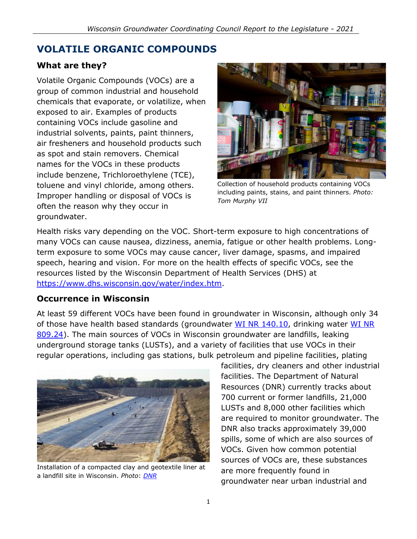# **VOLATILE ORGANIC COMPOUNDS**

#### **What are they?**

Volatile Organic Compounds (VOCs) are a group of common industrial and household chemicals that evaporate, or volatilize, when exposed to air. Examples of products containing VOCs include gasoline and industrial solvents, paints, paint thinners, air fresheners and household products such as spot and stain removers. Chemical names for the VOCs in these products include benzene, Trichloroethylene (TCE), toluene and vinyl chloride, among others. Improper handling or disposal of VOCs is often the reason why they occur in groundwater.



Collection of household products containing VOCs including paints, stains, and paint thinners. *Photo: Tom Murphy VII*

Health risks vary depending on the VOC. Short-term exposure to high concentrations of many VOCs can cause nausea, dizziness, anemia, fatigue or other health problems. Longterm exposure to some VOCs may cause cancer, liver damage, spasms, and impaired speech, hearing and vision. For more on the health effects of specific VOCs, see the resources listed by the Wisconsin Department of Health Services (DHS) at [https://www.dhs.wisconsin.gov/water/index.htm.](https://www.dhs.wisconsin.gov/water/index.htm)

#### **Occurrence in Wisconsin**

At least 59 different VOCs have been found in groundwater in Wisconsin, although only 34 of those have health based standards (groundwater [WI NR 140.10,](http://docs.legis.wisconsin.gov/code/admin_code/nr/100/140/II/10) drinking water WI NR [809.24\)](http://docs.legis.wisconsin.gov/code/admin_code/nr/800/809/I/24). The main sources of VOCs in Wisconsin groundwater are landfills, leaking underground storage tanks (LUSTs), and a variety of facilities that use VOCs in their regular operations, including gas stations, bulk petroleum and pipeline facilities, plating



Installation of a compacted clay and geotextile liner at a landfill site in Wisconsin. *Photo*: *[DNR](https://www.flickr.com/photos/widnr)*

facilities, dry cleaners and other industrial facilities. The Department of Natural Resources (DNR) currently tracks about 700 current or former landfills, 21,000 LUSTs and 8,000 other facilities which are required to monitor groundwater. The DNR also tracks approximately 39,000 spills, some of which are also sources of VOCs. Given how common potential sources of VOCs are, these substances are more frequently found in groundwater near urban industrial and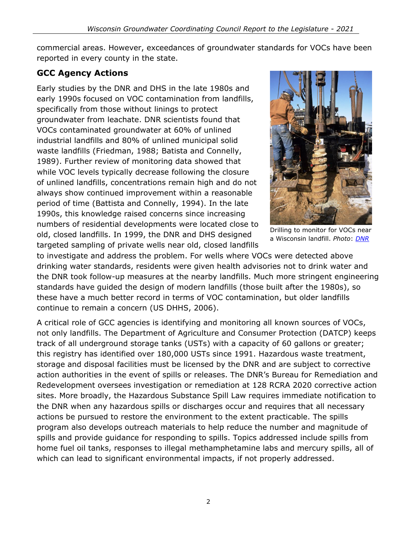commercial areas. However, exceedances of groundwater standards for VOCs have been reported in every county in the state.

## **GCC Agency Actions**

Early studies by the DNR and DHS in the late 1980s and early 1990s focused on VOC contamination from landfills, specifically from those without linings to protect groundwater from leachate. DNR scientists found that VOCs contaminated groundwater at 60% of unlined industrial landfills and 80% of unlined municipal solid waste landfills (Friedman, 1988; Batista and Connelly, 1989). Further review of monitoring data showed that while VOC levels typically decrease following the closure of unlined landfills, concentrations remain high and do not always show continued improvement within a reasonable period of time (Battista and Connelly, 1994). In the late 1990s, this knowledge raised concerns since increasing numbers of residential developments were located close to old, closed landfills. In 1999, the DNR and DHS designed targeted sampling of private wells near old, closed landfills



Drilling to monitor for VOCs near a Wisconsin landfill. *Photo*: *[DNR](https://www.flickr.com/photos/widnr)*

to investigate and address the problem. For wells where VOCs were detected above drinking water standards, residents were given health advisories not to drink water and the DNR took follow-up measures at the nearby landfills. Much more stringent engineering standards have guided the design of modern landfills (those built after the 1980s), so these have a much better record in terms of VOC contamination, but older landfills continue to remain a concern (US DHHS, 2006).

A critical role of GCC agencies is identifying and monitoring all known sources of VOCs, not only landfills. The Department of Agriculture and Consumer Protection (DATCP) keeps track of all underground storage tanks (USTs) with a capacity of 60 gallons or greater; this registry has identified over 180,000 USTs since 1991. Hazardous waste treatment, storage and disposal facilities must be licensed by the DNR and are subject to corrective action authorities in the event of spills or releases. The DNR's Bureau for Remediation and Redevelopment oversees investigation or remediation at 128 RCRA 2020 corrective action sites. More broadly, the Hazardous Substance Spill Law requires immediate notification to the DNR when any hazardous spills or discharges occur and requires that all necessary actions be pursued to restore the environment to the extent practicable. The spills program also develops outreach materials to help reduce the number and magnitude of spills and provide guidance for responding to spills. Topics addressed include spills from home fuel oil tanks, responses to illegal methamphetamine labs and mercury spills, all of which can lead to significant environmental impacts, if not properly addressed.